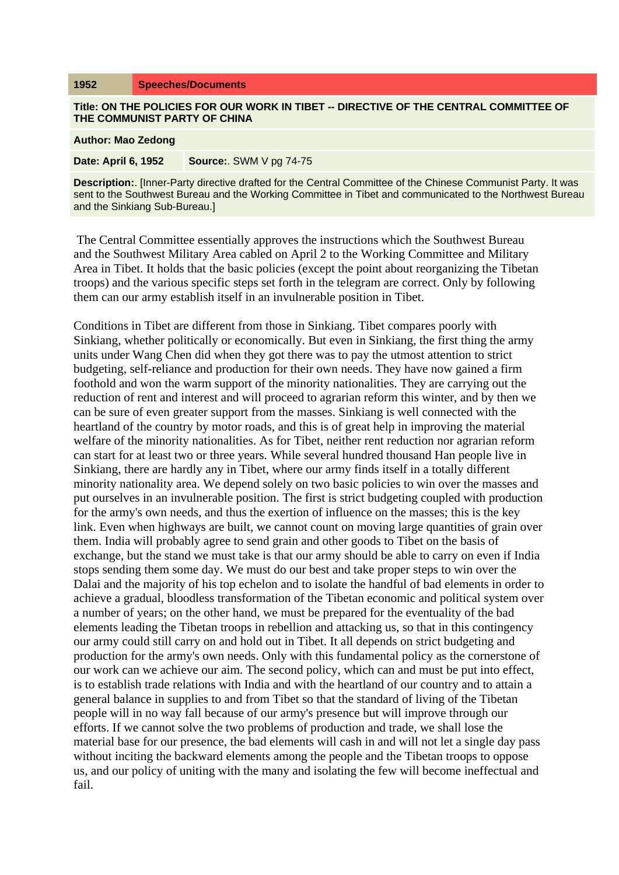## **1952 Speeches/Documents**

**Title: ON THE POLICIES FOR OUR WORK IN TIBET -- DIRECTIVE OF THE CENTRAL COMMITTEE OF THE COMMUNIST PARTY OF CHINA**

**Author: Mao Zedong**

**Date: April 6, 1952 Source:**. SWM V pg 74-75

**Description:**. [Inner-Party directive drafted for the Central Committee of the Chinese Communist Party. It was sent to the Southwest Bureau and the Working Committee in Tibet and communicated to the Northwest Bureau and the Sinkiang Sub-Bureau.]

The Central Committee essentially approves the instructions which the Southwest Bureau and the Southwest Military Area cabled on April 2 to the Working Committee and Military Area in Tibet. It holds that the basic policies (except the point about reorganizing the Tibetan troops) and the various specific steps set forth in the telegram are correct. Only by following them can our army establish itself in an invulnerable position in Tibet.

Conditions in Tibet are different from those in Sinkiang. Tibet compares poorly with Sinkiang, whether politically or economically. But even in Sinkiang, the first thing the army units under Wang Chen did when they got there was to pay the utmost attention to strict budgeting, self-reliance and production for their own needs. They have now gained a firm foothold and won the warm support of the minority nationalities. They are carrying out the reduction of rent and interest and will proceed to agrarian reform this winter, and by then we can be sure of even greater support from the masses. Sinkiang is well connected with the heartland of the country by motor roads, and this is of great help in improving the material welfare of the minority nationalities. As for Tibet, neither rent reduction nor agrarian reform can start for at least two or three years. While several hundred thousand Han people live in Sinkiang, there are hardly any in Tibet, where our army finds itself in a totally different minority nationality area. We depend solely on two basic policies to win over the masses and put ourselves in an invulnerable position. The first is strict budgeting coupled with production for the army's own needs, and thus the exertion of influence on the masses; this is the key link. Even when highways are built, we cannot count on moving large quantities of grain over them. India will probably agree to send grain and other goods to Tibet on the basis of exchange, but the stand we must take is that our army should be able to carry on even if India stops sending them some day. We must do our best and take proper steps to win over the Dalai and the majority of his top echelon and to isolate the handful of bad elements in order to achieve a gradual, bloodless transformation of the Tibetan economic and political system over a number of years; on the other hand, we must be prepared for the eventuality of the bad elements leading the Tibetan troops in rebellion and attacking us, so that in this contingency our army could still carry on and hold out in Tibet. It all depends on strict budgeting and production for the army's own needs. Only with this fundamental policy as the cornerstone of our work can we achieve our aim. The second policy, which can and must be put into effect, is to establish trade relations with India and with the heartland of our country and to attain a general balance in supplies to and from Tibet so that the standard of living of the Tibetan people will in no way fall because of our army's presence but will improve through our efforts. If we cannot solve the two problems of production and trade, we shall lose the material base for our presence, the bad elements will cash in and will not let a single day pass without inciting the backward elements among the people and the Tibetan troops to oppose us, and our policy of uniting with the many and isolating the few will become ineffectual and fail.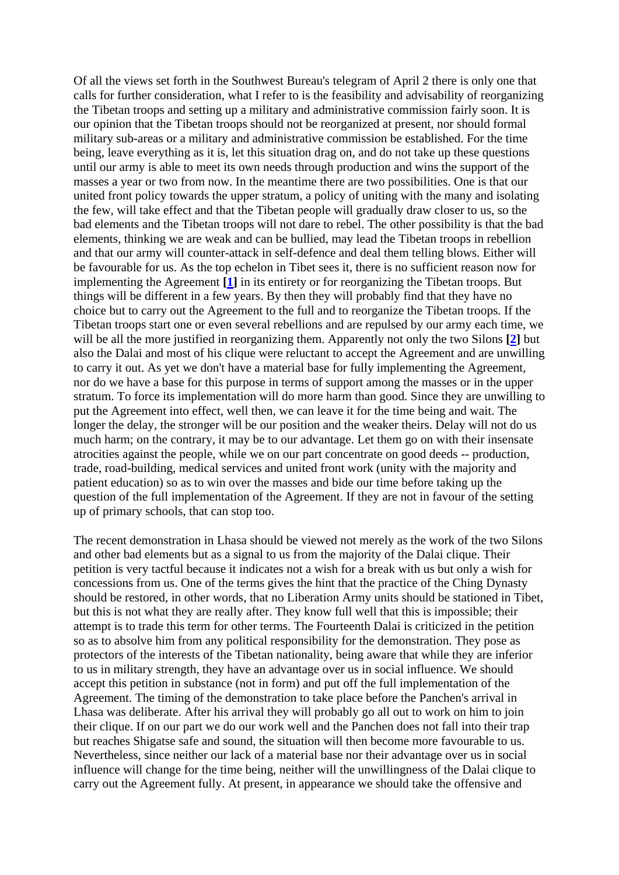Of all the views set forth in the Southwest Bureau's telegram of April 2 there is only one that calls for further consideration, what I refer to is the feasibility and advisability of reorganizing the Tibetan troops and setting up a military and administrative commission fairly soon. It is our opinion that the Tibetan troops should not be reorganized at present, nor should formal military sub-areas or a military and administrative commission be established. For the time being, leave everything as it is, let this situation drag on, and do not take up these questions until our army is able to meet its own needs through production and wins the support of the masses a year or two from now. In the meantime there are two possibilities. One is that our united front policy towards the upper stratum, a policy of uniting with the many and isolating the few, will take effect and that the Tibetan people will gradually draw closer to us, so the bad elements and the Tibetan troops will not dare to rebel. The other possibility is that the bad elements, thinking we are weak and can be bullied, may lead the Tibetan troops in rebellion and that our army will counter-attack in self-defence and deal them telling blows. Either will be favourable for us. As the top echelon in Tibet sees it, there is no sufficient reason now for implementing the Agreement **[\[1\]](http://www.marxists.org/reference/archive/mao/selected-works/volume-5/mswv5_20.htm#bm1)** in its entirety or for reorganizing the Tibetan troops. But things will be different in a few years. By then they will probably find that they have no choice but to carry out the Agreement to the full and to reorganize the Tibetan troops. If the Tibetan troops start one or even several rebellions and are repulsed by our army each time, we will be all the more justified in reorganizing them. Apparently not only the two Silons **[\[2\]](http://www.marxists.org/reference/archive/mao/selected-works/volume-5/mswv5_20.htm#bm2)** but also the Dalai and most of his clique were reluctant to accept the Agreement and are unwilling to carry it out. As yet we don't have a material base for fully implementing the Agreement, nor do we have a base for this purpose in terms of support among the masses or in the upper stratum. To force its implementation will do more harm than good. Since they are unwilling to put the Agreement into effect, well then, we can leave it for the time being and wait. The longer the delay, the stronger will be our position and the weaker theirs. Delay will not do us much harm; on the contrary, it may be to our advantage. Let them go on with their insensate atrocities against the people, while we on our part concentrate on good deeds -- production, trade, road-building, medical services and united front work (unity with the majority and patient education) so as to win over the masses and bide our time before taking up the question of the full implementation of the Agreement. If they are not in favour of the setting up of primary schools, that can stop too.

The recent demonstration in Lhasa should be viewed not merely as the work of the two Silons and other bad elements but as a signal to us from the majority of the Dalai clique. Their petition is very tactful because it indicates not a wish for a break with us but only a wish for concessions from us. One of the terms gives the hint that the practice of the Ching Dynasty should be restored, in other words, that no Liberation Army units should be stationed in Tibet, but this is not what they are really after. They know full well that this is impossible; their attempt is to trade this term for other terms. The Fourteenth Dalai is criticized in the petition so as to absolve him from any political responsibility for the demonstration. They pose as protectors of the interests of the Tibetan nationality, being aware that while they are inferior to us in military strength, they have an advantage over us in social influence. We should accept this petition in substance (not in form) and put off the full implementation of the Agreement. The timing of the demonstration to take place before the Panchen's arrival in Lhasa was deliberate. After his arrival they will probably go all out to work on him to join their clique. If on our part we do our work well and the Panchen does not fall into their trap but reaches Shigatse safe and sound, the situation will then become more favourable to us. Nevertheless, since neither our lack of a material base nor their advantage over us in social influence will change for the time being, neither will the unwillingness of the Dalai clique to carry out the Agreement fully. At present, in appearance we should take the offensive and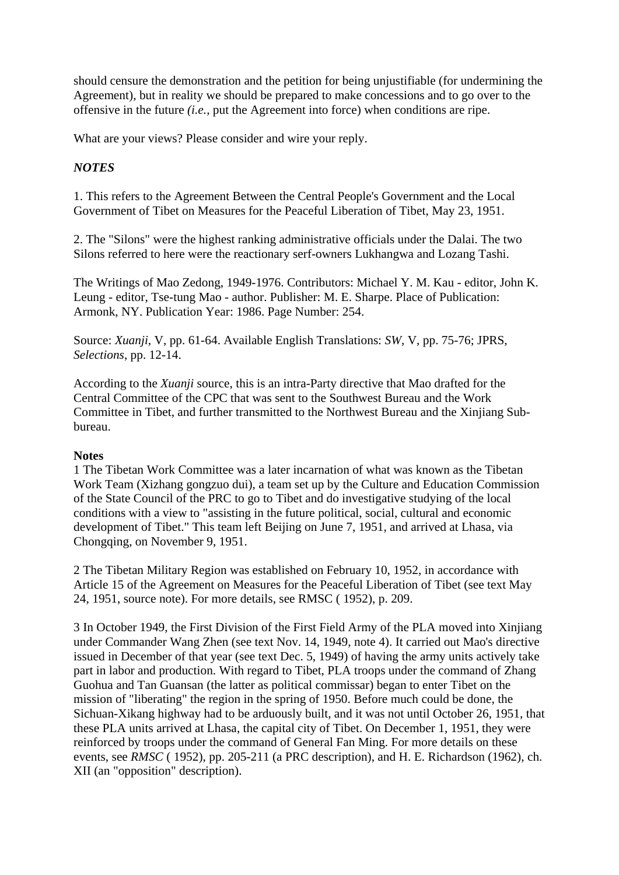should censure the demonstration and the petition for being unjustifiable (for undermining the Agreement), but in reality we should be prepared to make concessions and to go over to the offensive in the future *(i.e.,* put the Agreement into force) when conditions are ripe.

What are your views? Please consider and wire your reply.

## *NOTES*

1. This refers to the Agreement Between the Central People's Government and the Local Government of Tibet on Measures for the Peaceful Liberation of Tibet, May 23, 1951.

2. The "Silons" were the highest ranking administrative officials under the Dalai. The two Silons referred to here were the reactionary serf-owners Lukhangwa and Lozang Tashi.

The Writings of Mao Zedong, 1949-1976. Contributors: Michael Y. M. Kau - editor, John K. Leung - editor, Tse-tung Mao - author. Publisher: M. E. Sharpe. Place of Publication: Armonk, NY. Publication Year: 1986. Page Number: 254.

Source: *Xuanji*, V, pp. 61-64. Available English Translations: *SW*, V, pp. 75-76; JPRS, *Selections*, pp. 12-14.

According to the *Xuanji* source, this is an intra-Party directive that Mao drafted for the Central Committee of the CPC that was sent to the Southwest Bureau and the Work Committee in Tibet, and further transmitted to the Northwest Bureau and the Xinjiang Subbureau.

## **Notes**

1 The Tibetan Work Committee was a later incarnation of what was known as the Tibetan Work Team (Xizhang gongzuo dui), a team set up by the Culture and Education Commission of the State Council of the PRC to go to Tibet and do investigative studying of the local conditions with a view to "assisting in the future political, social, cultural and economic development of Tibet." This team left Beijing on June 7, 1951, and arrived at Lhasa, via Chongqing, on November 9, 1951.

2 The Tibetan Military Region was established on February 10, 1952, in accordance with Article 15 of the Agreement on Measures for the Peaceful Liberation of Tibet (see text May 24, 1951, source note). For more details, see RMSC ( 1952), p. 209.

3 In October 1949, the First Division of the First Field Army of the PLA moved into Xinjiang under Commander Wang Zhen (see text Nov. 14, 1949, note 4). It carried out Mao's directive issued in December of that year (see text Dec. 5, 1949) of having the army units actively take part in labor and production. With regard to Tibet, PLA troops under the command of Zhang Guohua and Tan Guansan (the latter as political commissar) began to enter Tibet on the mission of "liberating" the region in the spring of 1950. Before much could be done, the Sichuan-Xikang highway had to be arduously built, and it was not until October 26, 1951, that these PLA units arrived at Lhasa, the capital city of Tibet. On December 1, 1951, they were reinforced by troops under the command of General Fan Ming. For more details on these events, see *RMSC* ( 1952), pp. 205-211 (a PRC description), and H. E. Richardson (1962), ch. XII (an "opposition" description).